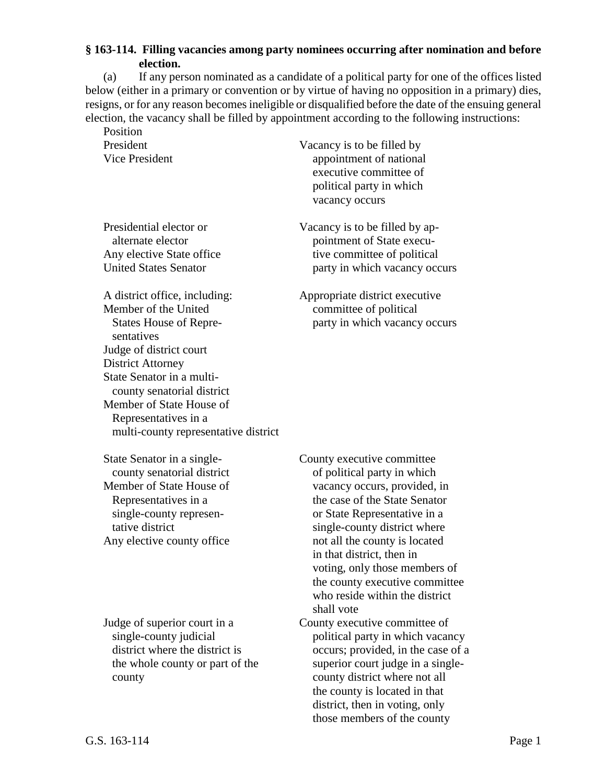## **§ 163-114. Filling vacancies among party nominees occurring after nomination and before election.**

(a) If any person nominated as a candidate of a political party for one of the offices listed below (either in a primary or convention or by virtue of having no opposition in a primary) dies, resigns, or for any reason becomes ineligible or disqualified before the date of the ensuing general election, the vacancy shall be filled by appointment according to the following instructions:

Position

A district office, including: Appropriate district executive Member of the United committee of political sentatives Judge of district court District Attorney State Senator in a multicounty senatorial district Member of State House of Representatives in a multi-county representative district

President Vacancy is to be filled by Vice President appointment of national executive committee of political party in which vacancy occurs

Presidential elector or Vacancy is to be filled by apalternate elector pointment of State execu-Any elective State office tive committee of political United States Senator **party in which vacancy occurs** 

States House of Repre-<br>
party in which vacancy occurs

Judge of superior court in a County executive committee of

State Senator in a single- County executive committee county senatorial district of political party in which Member of State House of vacancy occurs, provided, in Representatives in a the case of the State Senator single-county represen- or State Representative in a tative district single-county district where Any elective county office not all the county is located in that district, then in voting, only those members of the county executive committee who reside within the district shall vote

single-county judicial political party in which vacancy district where the district is occurs; provided, in the case of a the whole county or part of the superior court judge in a singlecounty county district where not all the county is located in that district, then in voting, only those members of the county